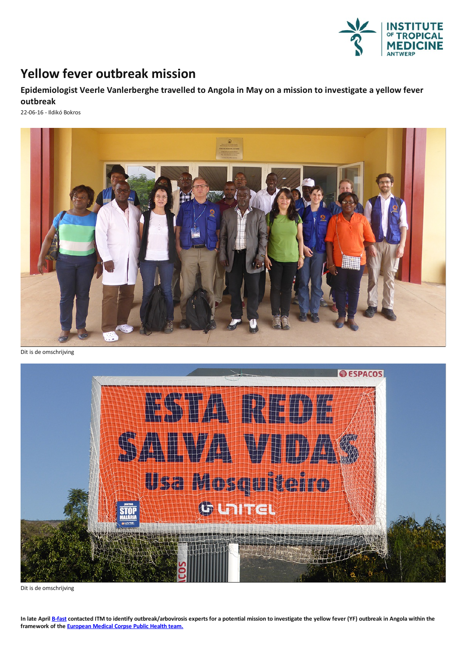

## **Yellow fever outbreak mission**

**Epidemiologist Veerle Vanlerberghe travelled to Angola in May on a mission to investigate a yellow fever outbreak**

22-06-16 - Ildikó Bokros



Dit is de omschrijving



Dit is de omschrijving

In late April [B-fast](http://b-fast.be/) contacted ITM to identify outbreak/arbovirosis experts for a potential mission to investigate the yellow fever (YF) outbreak in Angola within the **framework of the [European](http://ec.europa.eu/echo/what-we-do/civil-protection/european-medical-corps_en) Medical Corpse Public Health team.**